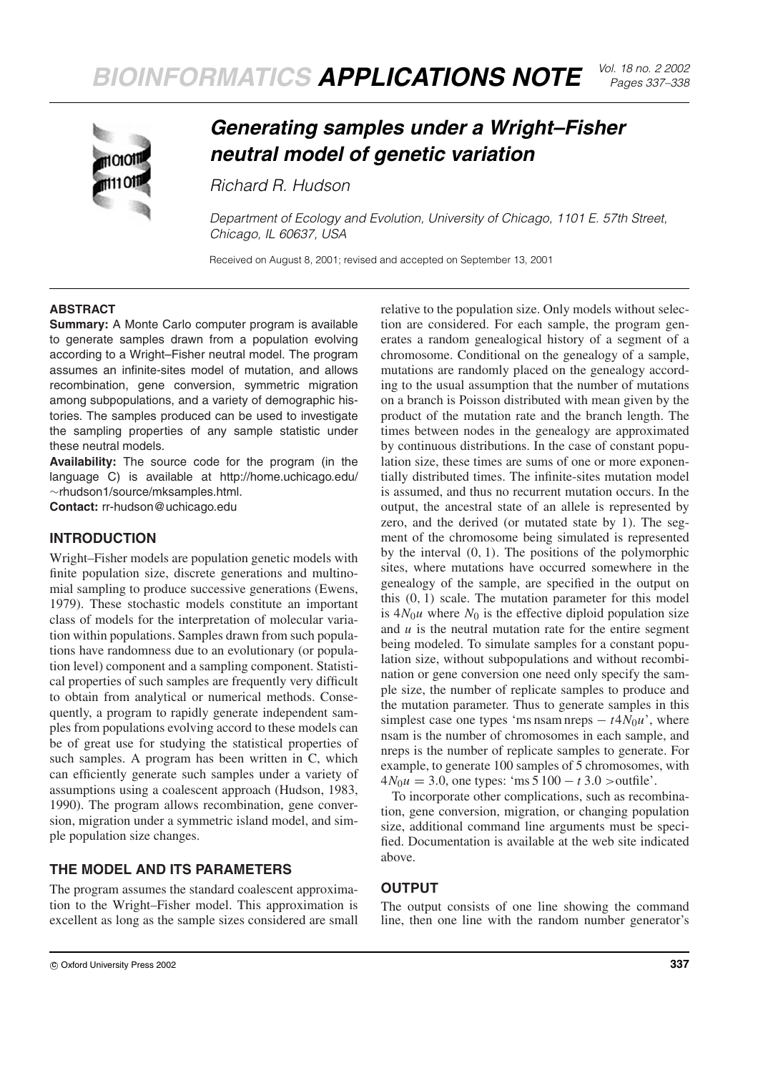

# *Generating samples under a Wright–Fisher neutral model of genetic variation*

*Richard R. Hudson*

*Department of Ecology and Evolution, University of Chicago, 1101 E. 57th Street, Chicago, IL 60637, USA*

Received on August 8, 2001; revised and accepted on September 13, 2001

### **ABSTRACT**

**Summary:** A Monte Carlo computer program is available to generate samples drawn from a population evolving according to a Wright–Fisher neutral model. The program assumes an infinite-sites model of mutation, and allows recombination, gene conversion, symmetric migration among subpopulations, and a variety of demographic histories. The samples produced can be used to investigate the sampling properties of any sample statistic under these neutral models.

**Availability:** The source code for the program (in the language C) is available at http://home.uchicago.edu/ ∼rhudson1/source/mksamples.html. **Contact:** rr-hudson@uchicago.edu

**INTRODUCTION**

Wright–Fisher models are population genetic models with finite population size, discrete generations and multinomial sampling to produce successive generations (Ewens, 1979). These stochastic models constitute an important class of models for the interpretation of molecular variation within populations. Samples drawn from such populations have randomness due to an evolutionary (or population level) component and a sampling component. Statistical properties of such samples are frequently very difficult to obtain from analytical or numerical methods. Consequently, a program to rapidly generate independent samples from populations evolving accord to these models can be of great use for studying the statistical properties of such samples. A program has been written in C, which can efficiently generate such samples under a variety of assumptions using a coalescent approach (Hudson, 1983, 1990). The program allows recombination, gene conversion, migration under a symmetric island model, and simple population size changes.

# **THE MODEL AND ITS PARAMETERS**

The program assumes the standard coalescent approximation to the Wright–Fisher model. This approximation is excellent as long as the sample sizes considered are small relative to the population size. Only models without selection are considered. For each sample, the program generates a random genealogical history of a segment of a chromosome. Conditional on the genealogy of a sample, mutations are randomly placed on the genealogy according to the usual assumption that the number of mutations on a branch is Poisson distributed with mean given by the product of the mutation rate and the branch length. The times between nodes in the genealogy are approximated by continuous distributions. In the case of constant population size, these times are sums of one or more exponentially distributed times. The infinite-sites mutation model is assumed, and thus no recurrent mutation occurs. In the output, the ancestral state of an allele is represented by zero, and the derived (or mutated state by 1). The segment of the chromosome being simulated is represented by the interval (0, 1). The positions of the polymorphic sites, where mutations have occurred somewhere in the genealogy of the sample, are specified in the output on this  $(0, 1)$  scale. The mutation parameter for this model is  $4N_0u$  where  $N_0$  is the effective diploid population size and *u* is the neutral mutation rate for the entire segment being modeled. To simulate samples for a constant population size, without subpopulations and without recombination or gene conversion one need only specify the sample size, the number of replicate samples to produce and the mutation parameter. Thus to generate samples in this simplest case one types 'ms nsam nreps  $- t \frac{4N_0 u}{v}$ , where nsam is the number of chromosomes in each sample, and nreps is the number of replicate samples to generate. For example, to generate 100 samples of 5 chromosomes, with  $4N_0u = 3.0$ , one types: 'ms  $5100 - t3.0$  >outfile'.

To incorporate other complications, such as recombination, gene conversion, migration, or changing population size, additional command line arguments must be specified. Documentation is available at the web site indicated above.

# **OUTPUT**

The output consists of one line showing the command line, then one line with the random number generator's